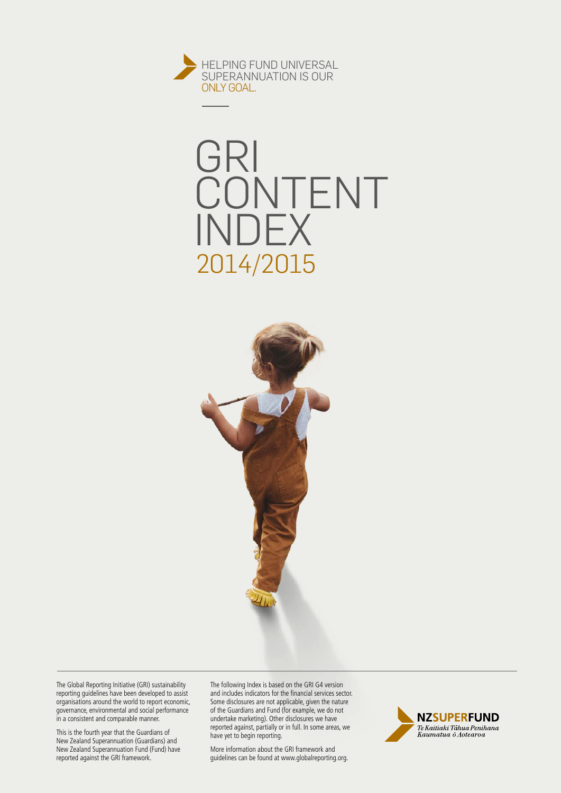





The Global Reporting Initiative (GRI) sustainability reporting guidelines have been developed to assist organisations around the world to report economic, governance, environmental and social performance in a consistent and comparable manner.

This is the fourth year that the Guardians of New Zealand Superannuation (Guardians) and New Zealand Superannuation Fund (Fund) have reported against the GRI framework.

The following Index is based on the GRI G4 version and includes indicators for the financial services sector. Some disclosures are not applicable, given the nature of the Guardians and Fund (for example, we do not undertake marketing). Other disclosures we have reported against, partially or in full. In some areas, we have yet to begin reporting.

More information about the GRI framework and guidelines can be found at [www.globalreporting.org.](www.globalreporting.org)

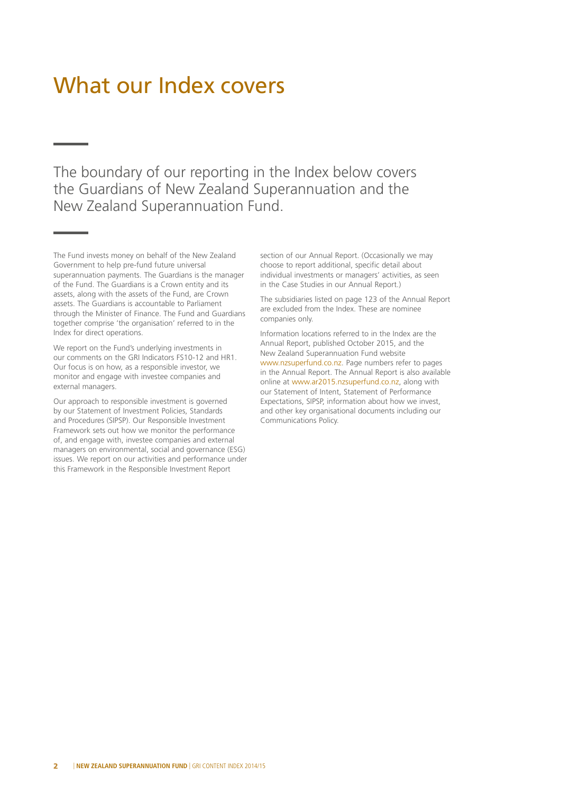### What our Index covers

The boundary of our reporting in the Index below covers the Guardians of New Zealand Superannuation and the New Zealand Superannuation Fund.

The Fund invests money on behalf of the New Zealand Government to help pre-fund future universal superannuation payments. The Guardians is the manager of the Fund. The Guardians is a Crown entity and its assets, along with the assets of the Fund, are Crown assets. The Guardians is accountable to Parliament through the Minister of Finance. The Fund and Guardians together comprise 'the organisation' referred to in the Index for direct operations.

We report on the Fund's underlying investments in our comments on the GRI Indicators FS10-12 and HR1. Our focus is on how, as a responsible investor, we monitor and engage with investee companies and external managers.

Our approach to responsible investment is governed by our Statement of Investment Policies, Standards and Procedures (SIPSP). Our Responsible Investment Framework sets out how we monitor the performance of, and engage with, investee companies and external managers on environmental, social and governance (ESG) issues. We report on our activities and performance under this Framework in the Responsible Investment Report

section of our Annual Report. (Occasionally we may choose to report additional, specific detail about individual investments or managers' activities, as seen in the Case Studies in our Annual Report.)

The subsidiaries listed on page 123 of the Annual Report are excluded from the Index. These are nominee companies only.

Information locations referred to in the Index are the Annual Report, published October 2015, and the New Zealand Superannuation Fund website [www.nzsuperfund.co.nz.](www.nzsuperfund.co.nz) Page numbers refer to pages in the Annual Report. The Annual Report is also available online at [www.ar2015.nzsuperfund.co.nz,](www.ar2015.nzsuperfund.co.nz) along with our Statement of Intent, Statement of Performance Expectations, SIPSP, information about how we invest, and other key organisational documents including our Communications Policy.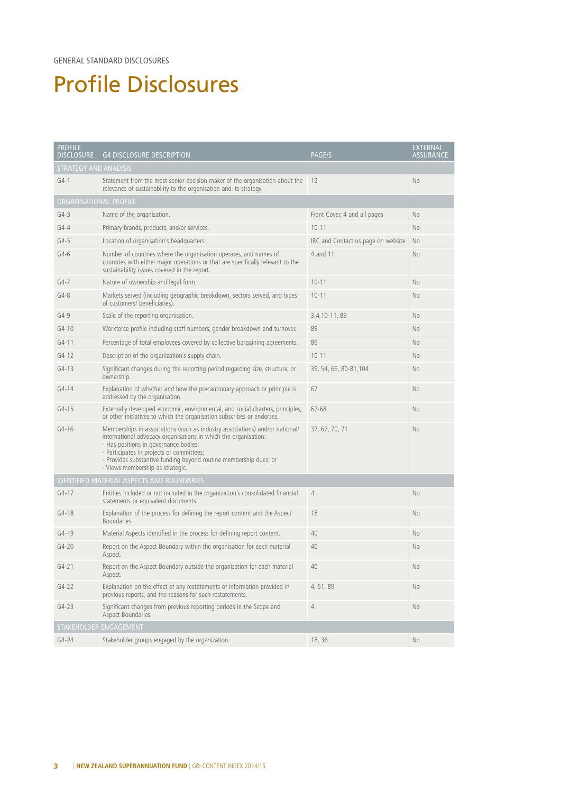#### GENERAL STANDARD DISCLOSURES

### Profile Disclosures

| <b>PROFILE</b><br><b>DISCLOSURE</b>               | <b>G4 DISCLOSURE DESCRIPTION</b>                                                                                                                                                                                                                                                                                                               | <b>PAGE/S</b>                      | <b>EXTERNAL</b><br><b>ASSURANCE</b> |  |  |  |  |
|---------------------------------------------------|------------------------------------------------------------------------------------------------------------------------------------------------------------------------------------------------------------------------------------------------------------------------------------------------------------------------------------------------|------------------------------------|-------------------------------------|--|--|--|--|
| <b>STRATEGY AND ANALYSIS</b>                      |                                                                                                                                                                                                                                                                                                                                                |                                    |                                     |  |  |  |  |
| $G4-1$                                            | Statement from the most senior decision-maker of the organisation about the<br>relevance of sustainability to the organisation and its strategy.                                                                                                                                                                                               | -12                                | No                                  |  |  |  |  |
| ORGANISATIONAL PROFILE                            |                                                                                                                                                                                                                                                                                                                                                |                                    |                                     |  |  |  |  |
| $G4-3$                                            | Name of the organisation.                                                                                                                                                                                                                                                                                                                      | Front Cover, 4 and all pages       | No                                  |  |  |  |  |
| $G4 - 4$                                          | Primary brands, products, and/or services.                                                                                                                                                                                                                                                                                                     | $10 - 11$                          | No                                  |  |  |  |  |
| $G4-5$                                            | Location of organisation's headquarters.                                                                                                                                                                                                                                                                                                       | IBC and Contact us page on website | <b>No</b>                           |  |  |  |  |
| $G4-6$                                            | Number of countries where the organisation operates, and names of<br>countries with either major operations or that are specifically relevant to the<br>sustainability issues covered in the report.                                                                                                                                           | 4 and 11                           | No                                  |  |  |  |  |
| $G4-7$                                            | Nature of ownership and legal form.                                                                                                                                                                                                                                                                                                            | $10 - 11$                          | No                                  |  |  |  |  |
| $G4-8$                                            | Markets served (including geographic breakdown, sectors served, and types<br>of customers/ beneficiaries).                                                                                                                                                                                                                                     | $10 - 11$                          | No                                  |  |  |  |  |
| $G4-9$                                            | Scale of the reporting organisation.                                                                                                                                                                                                                                                                                                           | 3, 4, 10 - 11, 89                  | No                                  |  |  |  |  |
| $G4-10$                                           | Workforce profile including staff numbers, gender breakdown and turnover.                                                                                                                                                                                                                                                                      | 89                                 | No                                  |  |  |  |  |
| $G4-11$                                           | Percentage of total employees covered by collective bargaining agreements.                                                                                                                                                                                                                                                                     | 86                                 | No                                  |  |  |  |  |
| $G4-12$                                           | Description of the organization's supply chain.                                                                                                                                                                                                                                                                                                | $10 - 11$                          | No                                  |  |  |  |  |
| $G4-13$                                           | Significant changes during the reporting period regarding size, structure, or<br>ownership.                                                                                                                                                                                                                                                    | 39, 54, 66, 80-81, 104             | No                                  |  |  |  |  |
| $G4 - 14$                                         | Explanation of whether and how the precautionary approach or principle is<br>addressed by the organisation.                                                                                                                                                                                                                                    | 67                                 | No                                  |  |  |  |  |
| $G4-15$                                           | Externally developed economic, environmental, and social charters, principles,<br>or other initiatives to which the organisation subscribes or endorses.                                                                                                                                                                                       | 67-68                              | No                                  |  |  |  |  |
| $G4 - 16$                                         | Memberships in associations (such as industry associations) and/or national/<br>international advocacy organisations in which the organisation:<br>- Has positions in governance bodies;<br>- Participates in projects or committees;<br>- Provides substantive funding beyond routine membership dues; or<br>- Views membership as strategic. | 37, 67, 70, 71                     | No                                  |  |  |  |  |
| <b>IDENTIFIED MATERIAL ASPECTS AND BOUNDARIES</b> |                                                                                                                                                                                                                                                                                                                                                |                                    |                                     |  |  |  |  |
| $G4 - 17$                                         | Entities included or not included in the organization's consolidated financial<br>statements or equivalent documents.                                                                                                                                                                                                                          | 4                                  | No                                  |  |  |  |  |
| $G4-18$                                           | Explanation of the process for defining the report content and the Aspect<br>Boundaries.                                                                                                                                                                                                                                                       | 18                                 | No                                  |  |  |  |  |
| $G4 - 19$                                         | Material Aspects identified in the process for defining report content.                                                                                                                                                                                                                                                                        | 40                                 | No                                  |  |  |  |  |
| $G4 - 20$                                         | Report on the Aspect Boundary within the organisation for each material<br>Aspect.                                                                                                                                                                                                                                                             | 40                                 | No                                  |  |  |  |  |
| $G4 - 21$                                         | Report on the Aspect Boundary outside the organisation for each material<br>Aspect.                                                                                                                                                                                                                                                            | 40                                 | No                                  |  |  |  |  |
| $G4-22$                                           | Explanation on the effect of any restatements of information provided in<br>previous reports, and the reasons for such restatements.                                                                                                                                                                                                           | 4, 51, 89                          | No                                  |  |  |  |  |
| $G4-23$                                           | Significant changes from previous reporting periods in the Scope and<br>Aspect Boundaries.                                                                                                                                                                                                                                                     | 4                                  | No                                  |  |  |  |  |
| STAKEHOLDER ENGAGEMENT                            |                                                                                                                                                                                                                                                                                                                                                |                                    |                                     |  |  |  |  |
| $G4 - 24$                                         | Stakeholder groups engaged by the organization.                                                                                                                                                                                                                                                                                                | 18, 36                             | No.                                 |  |  |  |  |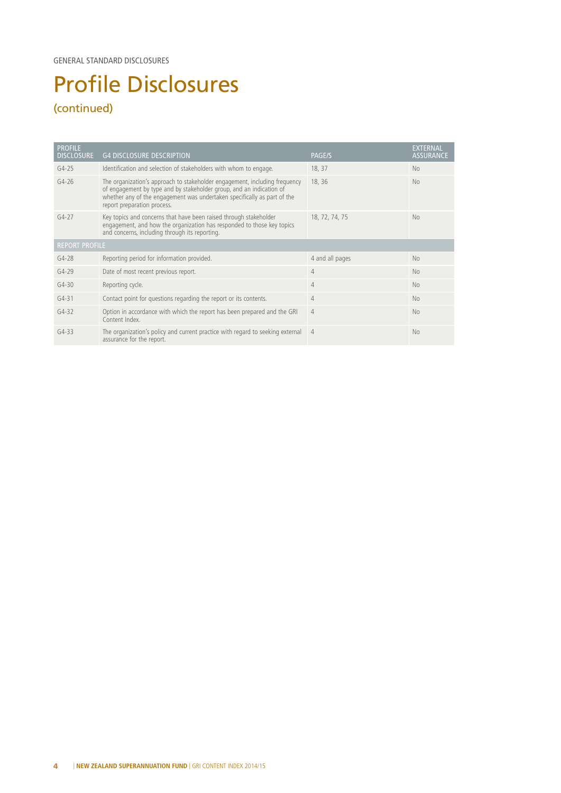# Profile Disclosures

### (continued)

| <b>PROFILE</b><br><b>DISCLOSURE</b> | <b>G4 DISCLOSURE DESCRIPTION</b>                                                                                                                                                                                                                              | PAGE/S          | <b>EXTERNAL</b><br><b>ASSURANCE</b> |  |  |
|-------------------------------------|---------------------------------------------------------------------------------------------------------------------------------------------------------------------------------------------------------------------------------------------------------------|-----------------|-------------------------------------|--|--|
| $G4-25$                             | Identification and selection of stakeholders with whom to engage.                                                                                                                                                                                             | 18, 37          | No.                                 |  |  |
| $G4 - 26$                           | The organization's approach to stakeholder engagement, including frequency<br>of engagement by type and by stakeholder group, and an indication of<br>whether any of the engagement was undertaken specifically as part of the<br>report preparation process. | 18, 36          | N <sub>o</sub>                      |  |  |
| $G4-27$                             | Key topics and concerns that have been raised through stakeholder<br>engagement, and how the organization has responded to those key topics<br>and concerns, including through its reporting.                                                                 | 18, 72, 74, 75  | N <sub>o</sub>                      |  |  |
| <b>REPORT PROFILE</b>               |                                                                                                                                                                                                                                                               |                 |                                     |  |  |
| $G4-28$                             | Reporting period for information provided.                                                                                                                                                                                                                    | 4 and all pages | No                                  |  |  |
| $G4-29$                             | Date of most recent previous report.                                                                                                                                                                                                                          | $\overline{4}$  | <b>No</b>                           |  |  |
| $G4-30$                             | Reporting cycle.                                                                                                                                                                                                                                              | $\overline{4}$  | No.                                 |  |  |
| $G4 - 31$                           | Contact point for questions regarding the report or its contents.                                                                                                                                                                                             | $\overline{4}$  | No.                                 |  |  |
| $G4 - 32$                           | Option in accordance with which the report has been prepared and the GRI<br>Content Index.                                                                                                                                                                    | $\overline{4}$  | N <sub>o</sub>                      |  |  |
| $G4-33$                             | The organization's policy and current practice with regard to seeking external<br>assurance for the report.                                                                                                                                                   | $\overline{4}$  | <b>No</b>                           |  |  |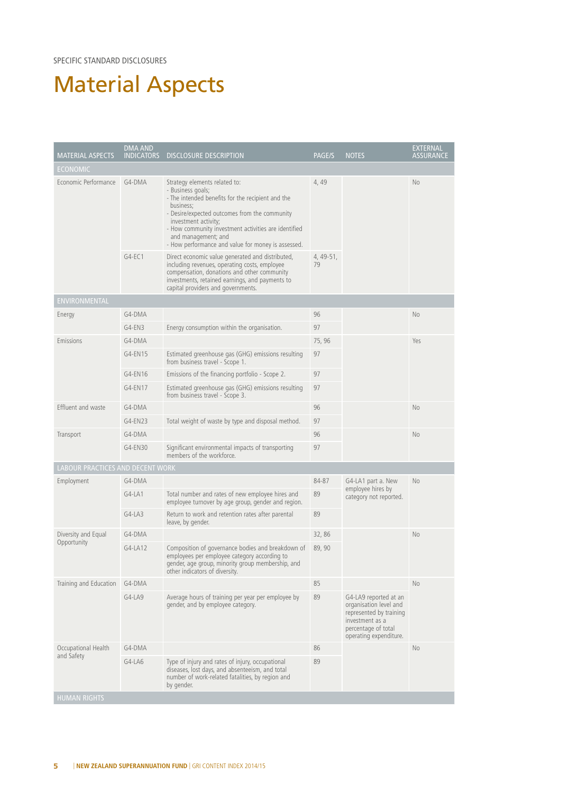SPECIFIC STANDARD DISCLOSURES

### Material Aspects

| <b>MATERIAL ASPECTS</b>          | <b>DMA AND</b><br><b>INDICATORS</b> | <b>DISCLOSURE DESCRIPTION</b>                                                                                                                                                                                                                                                                                                      | PAGE/S          | <b>NOTES</b>                                                                                                                                   | <b>EXTERNAL</b><br><b>ASSURANCE</b> |
|----------------------------------|-------------------------------------|------------------------------------------------------------------------------------------------------------------------------------------------------------------------------------------------------------------------------------------------------------------------------------------------------------------------------------|-----------------|------------------------------------------------------------------------------------------------------------------------------------------------|-------------------------------------|
| <b>ECONOMIC</b>                  |                                     |                                                                                                                                                                                                                                                                                                                                    |                 |                                                                                                                                                |                                     |
| Economic Performance             | G4-DMA                              | Strategy elements related to:<br>- Business goals;<br>- The intended benefits for the recipient and the<br>business;<br>- Desire/expected outcomes from the community<br>investment activity;<br>- How community investment activities are identified<br>and management; and<br>- How performance and value for money is assessed. | 4, 49           |                                                                                                                                                | <b>No</b>                           |
|                                  | $G4-EC1$                            | Direct economic value generated and distributed,<br>including revenues, operating costs, employee<br>compensation, donations and other community<br>investments, retained earnings, and payments to<br>capital providers and governments.                                                                                          | 4, 49-51,<br>79 |                                                                                                                                                |                                     |
| ENVIRONMENTAL                    |                                     |                                                                                                                                                                                                                                                                                                                                    |                 |                                                                                                                                                |                                     |
| Energy                           | G4-DMA                              |                                                                                                                                                                                                                                                                                                                                    | 96              |                                                                                                                                                | <b>No</b>                           |
|                                  | $G4-EN3$                            | Energy consumption within the organisation.                                                                                                                                                                                                                                                                                        | 97              |                                                                                                                                                |                                     |
| Emissions                        | G4-DMA                              |                                                                                                                                                                                                                                                                                                                                    | 75,96           |                                                                                                                                                | Yes                                 |
|                                  | G4-EN15                             | Estimated greenhouse gas (GHG) emissions resulting<br>from business travel - Scope 1.                                                                                                                                                                                                                                              | 97              |                                                                                                                                                |                                     |
|                                  | G4-EN16                             | Emissions of the financing portfolio - Scope 2.                                                                                                                                                                                                                                                                                    | 97              |                                                                                                                                                |                                     |
|                                  | G4-EN17                             | Estimated greenhouse gas (GHG) emissions resulting<br>from business travel - Scope 3.                                                                                                                                                                                                                                              | 97              |                                                                                                                                                |                                     |
| Effluent and waste               | G4-DMA                              |                                                                                                                                                                                                                                                                                                                                    | 96              |                                                                                                                                                | No                                  |
|                                  | G4-EN23                             | Total weight of waste by type and disposal method.                                                                                                                                                                                                                                                                                 | 97              |                                                                                                                                                |                                     |
| Transport                        | G4-DMA                              |                                                                                                                                                                                                                                                                                                                                    | 96              |                                                                                                                                                | <b>No</b>                           |
|                                  | G4-EN30                             | Significant environmental impacts of transporting<br>members of the workforce.                                                                                                                                                                                                                                                     | 97              |                                                                                                                                                |                                     |
| LABOUR PRACTICES AND DECENT WORK |                                     |                                                                                                                                                                                                                                                                                                                                    |                 |                                                                                                                                                |                                     |
| Employment                       | G4-DMA                              |                                                                                                                                                                                                                                                                                                                                    | 84-87           | G4-LA1 part a. New                                                                                                                             | No                                  |
|                                  | $G4-LA1$                            | Total number and rates of new employee hires and<br>employee turnover by age group, gender and region.                                                                                                                                                                                                                             | 89              | employee hires by<br>category not reported.                                                                                                    |                                     |
|                                  | $G4-LA3$                            | Return to work and retention rates after parental<br>leave, by gender.                                                                                                                                                                                                                                                             | 89              |                                                                                                                                                |                                     |
| Diversity and Equal              | G4-DMA                              |                                                                                                                                                                                                                                                                                                                                    | 32,86           |                                                                                                                                                | No                                  |
| Opportunity                      | $G4-LA12$                           | Composition of governance bodies and breakdown of<br>employees per employee category according to<br>gender, age group, minority group membership, and<br>other indicators of diversity.                                                                                                                                           | 89, 90          |                                                                                                                                                |                                     |
| Training and Education           | G4-DMA                              |                                                                                                                                                                                                                                                                                                                                    | 85              |                                                                                                                                                | No                                  |
|                                  | $G4-LA9$                            | Average hours of training per year per employee by<br>gender, and by employee category.                                                                                                                                                                                                                                            | 89              | G4-LA9 reported at an<br>organisation level and<br>represented by training<br>investment as a<br>percentage of total<br>operating expenditure. |                                     |
| Occupational Health              | G4-DMA                              |                                                                                                                                                                                                                                                                                                                                    | 86              |                                                                                                                                                | <b>No</b>                           |
| and Safety                       | $G4-LAG$                            | Type of injury and rates of injury, occupational<br>diseases, lost days, and absenteeism, and total<br>number of work-related fatalities, by region and<br>by gender.                                                                                                                                                              | 89              |                                                                                                                                                |                                     |
| <b>HUMAN RIGHTS</b>              |                                     |                                                                                                                                                                                                                                                                                                                                    |                 |                                                                                                                                                |                                     |